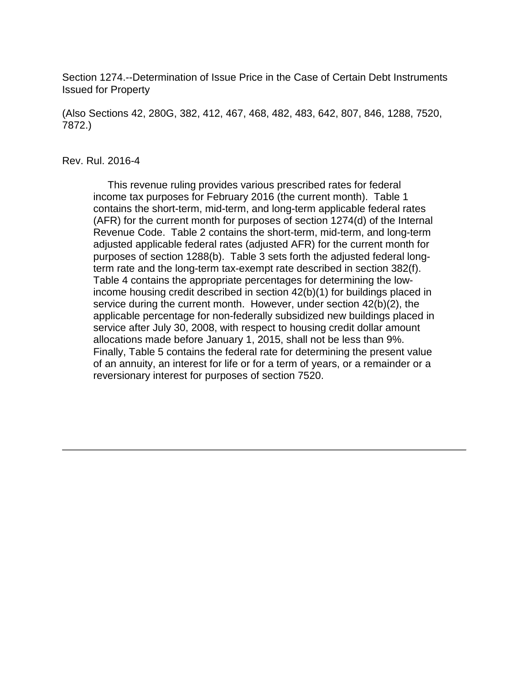Section 1274.--Determination of Issue Price in the Case of Certain Debt Instruments Issued for Property

(Also Sections 42, 280G, 382, 412, 467, 468, 482, 483, 642, 807, 846, 1288, 7520, 7872.)

#### Rev. Rul. 2016-4

 This revenue ruling provides various prescribed rates for federal income tax purposes for February 2016 (the current month). Table 1 contains the short-term, mid-term, and long-term applicable federal rates (AFR) for the current month for purposes of section 1274(d) of the Internal Revenue Code. Table 2 contains the short-term, mid-term, and long-term adjusted applicable federal rates (adjusted AFR) for the current month for purposes of section 1288(b). Table 3 sets forth the adjusted federal longterm rate and the long-term tax-exempt rate described in section 382(f). Table 4 contains the appropriate percentages for determining the lowincome housing credit described in section 42(b)(1) for buildings placed in service during the current month. However, under section 42(b)(2), the applicable percentage for non-federally subsidized new buildings placed in service after July 30, 2008, with respect to housing credit dollar amount allocations made before January 1, 2015, shall not be less than 9%. Finally, Table 5 contains the federal rate for determining the present value of an annuity, an interest for life or for a term of years, or a remainder or a reversionary interest for purposes of section 7520.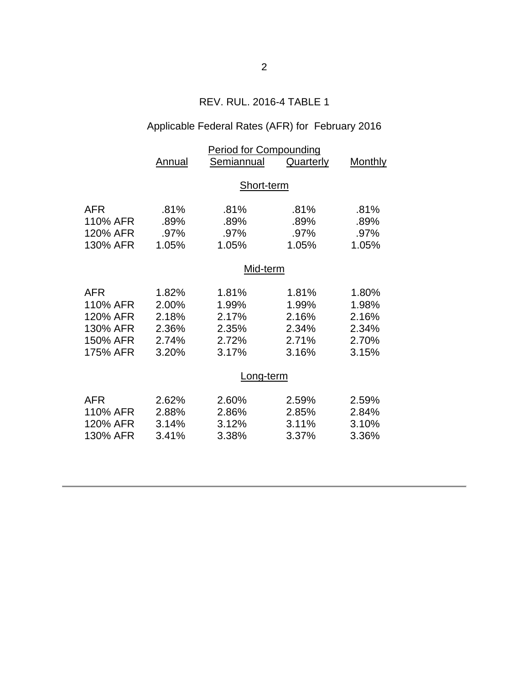## REV. RUL. 2016-4 TABLE 1

# Applicable Federal Rates (AFR) for February 2016

|            | <b>Period for Compounding</b> |            |           |         |  |  |
|------------|-------------------------------|------------|-----------|---------|--|--|
|            | Annual                        | Semiannual | Quarterly | Monthly |  |  |
|            | Short-term                    |            |           |         |  |  |
|            |                               |            |           |         |  |  |
| AFR        | .81%                          | .81%       | .81%      | .81%    |  |  |
| 110% AFR   | .89%                          | .89%       | .89%      | .89%    |  |  |
| 120% AFR   | .97%                          | .97%       | .97%      | .97%    |  |  |
| 130% AFR   | 1.05%                         | 1.05%      | 1.05%     | 1.05%   |  |  |
|            | Mid-term                      |            |           |         |  |  |
| <b>AFR</b> | 1.82%                         | 1.81%      | 1.81%     | 1.80%   |  |  |
| 110% AFR   | 2.00%                         | 1.99%      | 1.99%     | 1.98%   |  |  |
| 120% AFR   | 2.18%                         | 2.17%      | 2.16%     | 2.16%   |  |  |
| 130% AFR   | 2.36%                         | 2.35%      | 2.34%     | 2.34%   |  |  |
| 150% AFR   | 2.74%                         | 2.72%      | 2.71%     | 2.70%   |  |  |
| 175% AFR   | 3.20%                         | 3.17%      | 3.16%     | 3.15%   |  |  |
|            | Long-term                     |            |           |         |  |  |
| <b>AFR</b> | 2.62%                         | 2.60%      | 2.59%     | 2.59%   |  |  |
| 110% AFR   | 2.88%                         | 2.86%      | 2.85%     | 2.84%   |  |  |
| 120% AFR   | 3.14%                         | 3.12%      | 3.11%     | 3.10%   |  |  |
| 130% AFR   | 3.41%                         | 3.38%      | 3.37%     | 3.36%   |  |  |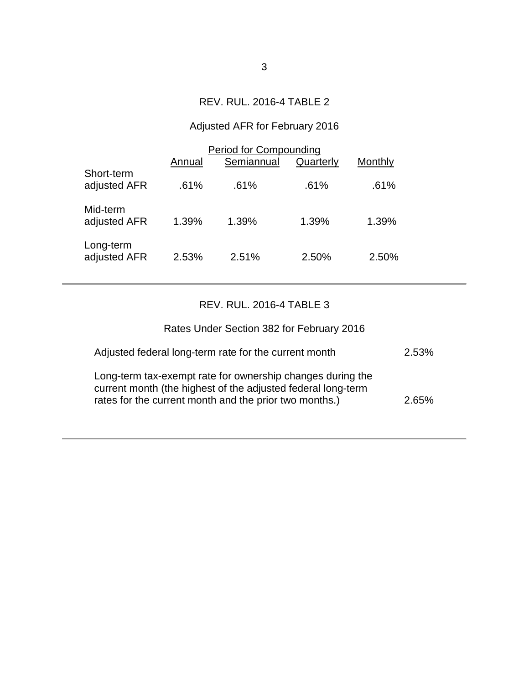## REV. RUL. 2016-4 TABLE 2

# Adjusted AFR for February 2016

|                            | <b>Period for Compounding</b> |            |           |         |  |
|----------------------------|-------------------------------|------------|-----------|---------|--|
|                            | Annual                        | Semiannual | Quarterly | Monthly |  |
| Short-term<br>adjusted AFR | .61%                          | .61%       | .61%      | .61%    |  |
| Mid-term<br>adjusted AFR   | 1.39%                         | 1.39%      | 1.39%     | 1.39%   |  |
| Long-term<br>adjusted AFR  | 2.53%                         | 2.51%      | 2.50%     | 2.50%   |  |

### REV. RUL. 2016-4 TABLE 3

| Rates Under Section 382 for February 2016                                                                                                                                            |       |
|--------------------------------------------------------------------------------------------------------------------------------------------------------------------------------------|-------|
| Adjusted federal long-term rate for the current month                                                                                                                                | 2.53% |
| Long-term tax-exempt rate for ownership changes during the<br>current month (the highest of the adjusted federal long-term<br>rates for the current month and the prior two months.) | 265%  |